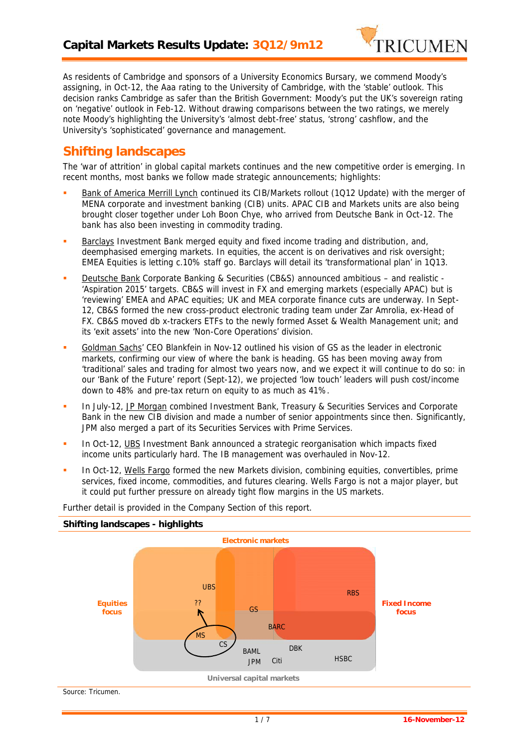

*As residents of Cambridge and sponsors of a University Economics Bursary, we commend Moody's assigning, in Oct-12, the Aaa rating to the University of Cambridge, with the 'stable' outlook. This decision ranks Cambridge as safer than the British Government: Moody's put the UK's sovereign rating on 'negative' outlook in Feb-12. Without drawing comparisons between the two ratings, we merely note Moody's highlighting the University's 'almost debt-free' status, 'strong' cashflow, and the University's 'sophisticated' governance and management.*

## **Shifting landscapes**

The 'war of attrition' in global capital markets continues and the new competitive order is emerging. In recent months, most banks we follow made strategic announcements; highlights:

- Bank of America Merrill Lynch continued its CIB/Markets rollout (1Q12 Update) with the merger of MENA corporate and investment banking (CIB) units. APAC CIB and Markets units are also being brought closer together under Loh Boon Chye, who arrived from Deutsche Bank in Oct-12. The bank has also been investing in commodity trading.
- Barclays Investment Bank merged equity and fixed income trading and distribution, and, deemphasised emerging markets. In equities, the accent is on derivatives and risk oversight; EMEA Equities is letting c.10% staff go. Barclays will detail its 'transformational plan' in 1Q13.
- Deutsche Bank Corporate Banking & Securities (CB&S) announced ambitious and realistic 'Aspiration 2015' targets. CB&S will invest in FX and emerging markets (especially APAC) but is 'reviewing' EMEA and APAC equities; UK and MEA corporate finance cuts are underway. In Sept- 12, CB&S formed the new cross-product electronic trading team under Zar Amrolia, ex-Head of FX. CB&S moved db x-trackers ETFs to the newly formed Asset & Wealth Management unit; and its 'exit assets' into the new 'Non-Core Operations' division.
- Goldman Sachs' CEO Blankfein in Nov-12 outlined his vision of GS as the leader in electronic markets, confirming our view of where the bank is heading. GS has been moving away from 'traditional' sales and trading for almost two years now, and we expect it will continue to do so: in our 'Bank of the Future' report (Sept-12), we projected 'low touch' leaders will push cost/income down to 48% and pre-tax return on equity to as much as 41%.
- **In July-12, JP Morgan combined Investment Bank, Treasury & Securities Services and Corporate** Bank in the new CIB division and made a number of senior appointments since then. Significantly, JPM also merged a part of its Securities Services with Prime Services.
- In Oct-12, UBS Investment Bank announced a strategic reorganisation which impacts fixed income units particularly hard. The IB management was overhauled in Nov-12.
- In Oct-12, Wells Fargo formed the new Markets division, combining equities, convertibles, prime services, fixed income, commodities, and futures clearing. Wells Fargo is not a major player, but it could put further pressure on already tight flow margins in the US markets.



Further detail is provided in the Company Section of this report.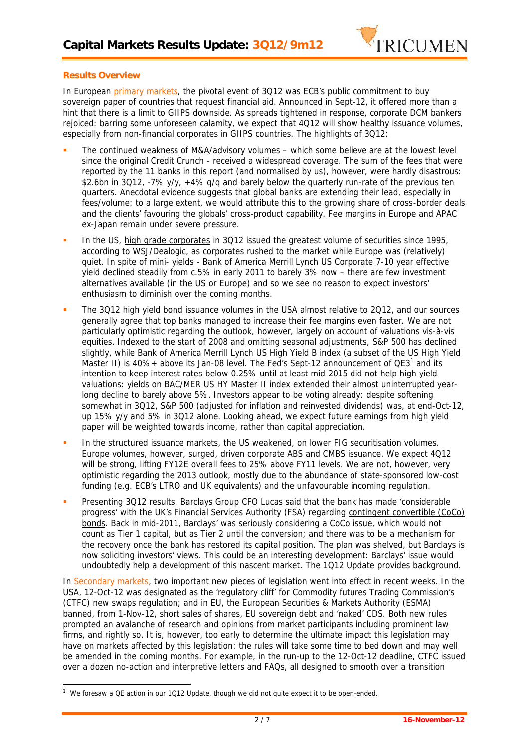

## **Results Overview**

In European primary markets, the pivotal event of 3Q12 was ECB's public commitment to buy sovereign paper of countries that request financial aid. Announced in Sept-12, it offered more than a hint that there is a limit to GIIPS downside. As spreads tightened in response, corporate DCM bankers rejoiced: barring some unforeseen calamity, we expect that 4Q12 will show healthy issuance volumes, especially from non-financial corporates in GIIPS countries. The highlights of 3Q12:

- The continued weakness of M&A/advisory volumes which some believe are at the lowest level since the original Credit Crunch - received a widespread coverage. The sum of the *fees* that were reported by the 11 banks in this report (and normalised by us), however, were hardly disastrous: \$2.6bn in 3Q12, -7% y/y, +4% g/g and barely below the quarterly run-rate of the previous ten quarters. Anecdotal evidence suggests that global banks are extending their lead, especially in fees/volume: to a large extent, we would attribute this to the growing share of cross-border deals and the clients' favouring the globals' cross-product capability. Fee margins in Europe and APAC ex-Japan remain under severe pressure.
- In the US, high grade corporates in 3Q12 issued the greatest volume of securities since 1995, according to WSJ/Dealogic, as corporates rushed to the market while Europe was (relatively) quiet. In spite of mini- yields - Bank of America Merrill Lynch US Corporate 7-10 year effective yield declined steadily from c.5% in early 2011 to barely 3% now – there are few investment alternatives available (in the US *or* Europe) and so we see no reason to expect investors' enthusiasm to diminish over the coming months.
- The 3Q12 high yield bond issuance volumes in the USA almost relative to 2Q12, and our sources generally agree that top banks managed to increase their fee margins even faster. We are not particularly optimistic regarding the outlook, however, largely on account of valuations vis-à-vis equities. Indexed to the start of 2008 and omitting seasonal adjustments, S&P 500 has declined slightly, while Bank of America Merrill Lynch US High Yield B index (a subset of the US High Yield Master II) is 40%+ above its Jan-08 level. The Fed's Sept-12 announcement of  $QE3<sup>1</sup>$  and its intention to keep interest rates below 0.25% until at least mid-2015 did not help high yield valuations: yields on BAC/MER US HY Master II index extended their almost uninterrupted yearlong decline to barely above 5%. Investors appear to be voting already: despite softening somewhat in 3Q12, S&P 500 (adjusted for inflation and reinvested dividends) was, at end-Oct-12, up 15% y/y and 5% in 3Q12 alone. Looking ahead, we expect future earnings from high yield paper will be weighted towards income, rather than capital appreciation.
- In the structured issuance markets, the US weakened, on lower FIG securitisation volumes. Europe volumes, however, surged, driven corporate ABS and CMBS issuance. We expect 4Q12 will be strong, lifting FY12E overall fees to 25% above FY11 levels. We are not, however, very optimistic regarding the 2013 outlook, mostly due to the abundance of state-sponsored low-cost funding (e.g. ECB's LTRO and UK equivalents) and the unfavourable incoming regulation.
- Presenting 3Q12 results, Barclays Group CFO Lucas said that the bank has made 'considerable progress' with the UK's Financial Services Authority (FSA) regarding contingent convertible (CoCo) bonds. Back in mid-2011, Barclays' was seriously considering a CoCo issue, which would not count as Tier 1 capital, but as Tier 2 until the conversion; and there was to be a mechanism for the recovery once the bank has restored its capital position. The plan was shelved, but Barclays is now soliciting investors' views. This could be an interesting development: Barclays' issue would undoubtedly help a development of this nascent market. The 1Q12 Update provides background.

In Secondary markets, two important new pieces of legislation went into effect in recent weeks. In the USA, 12-Oct-12 was designated as the 'regulatory cliff' for Commodity futures Trading Commission's (CTFC) new swaps regulation; and in EU, the European Securities & Markets Authority (ESMA) banned, from 1-Nov-12, short sales of shares, EU sovereign debt and 'naked' CDS. Both new rules prompted an avalanche of research and opinions from market participants including prominent law firms, and rightly so. It is, however, too early to determine the ultimate impact this legislation may have on markets affected by this legislation: the rules will take some time to bed down and may well be amended in the coming months. For example, in the run-up to the 12-Oct-12 deadline, CTFC issued over a dozen no-action and interpretive letters and FAQs, all designed to smooth over a transition

*<sup>1</sup> We foresaw a QE action in our 1Q12 Update, though we did not quite expect it to be open-ended.*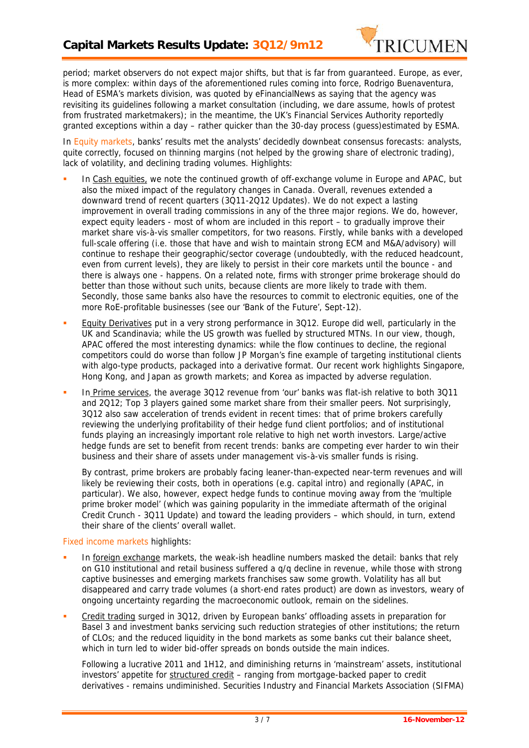

period; market observers do not expect major shifts, but that is far from guaranteed. Europe, as ever, is more complex: within days of the aforementioned rules coming into force, Rodrigo Buenaventura, Head of ESMA's markets division, was quoted by eFinancialNews as saying that the agency was revisiting its guidelines following a market consultation (including, we dare assume, howls of protest from frustrated marketmakers); in the meantime, the UK's Financial Services Authority reportedly granted exceptions within a day – rather quicker than the 30-day process (guess)estimated by ESMA.

In Equity markets, banks' results met the analysts' decidedly downbeat consensus forecasts: analysts, quite correctly, focused on thinning margins (not helped by the growing share of electronic trading), lack of volatility, and declining trading volumes. Highlights:

- In Cash equities, we note the continued growth of off-exchange volume in Europe and APAC, but also the mixed impact of the regulatory changes in Canada. Overall, revenues extended a downward trend of recent quarters (3Q11-2Q12 Updates). We do not expect a *lasting* improvement in overall trading commissions in any of the three major regions. We do, however, expect equity leaders - most of whom are included in this report – to gradually improve their market share vis-à-vis smaller competitors, for two reasons. Firstly, while banks with a developed full-scale offering (i.e. those that have and wish to maintain strong ECM and M&A/advisory) will continue to reshape their geographic/sector coverage (undoubtedly, with the reduced headcount, even from current levels), they are likely to persist in their core markets until the bounce - and there is always one - happens. On a related note, firms with stronger prime brokerage should do better than those without such units, because clients are more likely to trade with them. Secondly, those same banks also have the resources to commit to electronic equities, one of the more RoE-profitable businesses (see our 'Bank of the Future', Sept-12).
- Equity Derivatives put in a very strong performance in 3Q12. Europe did well, particularly in the UK and Scandinavia; while the US growth was fuelled by structured MTNs. In our view, though, APAC offered the most interesting dynamics: while the flow continues to decline, the regional competitors could do worse than follow JP Morgan's fine example of targeting institutional clients with algo-type products, packaged into a derivative format. Our recent work highlights Singapore, Hong Kong, and Japan as growth markets; and Korea as impacted by adverse regulation.
- In Prime services, the average 3Q12 revenue from 'our' banks was flat-ish relative to both 3Q11 and 2Q12; Top 3 players gained some market share from their smaller peers. Not surprisingly, 3Q12 also saw acceleration of trends evident in recent times: that of prime brokers carefully reviewing the underlying profitability of their hedge fund client portfolios; and of institutional funds playing an increasingly important role relative to high net worth investors. Large/active hedge funds are set to benefit from recent trends: banks are competing ever harder to win their business and their share of assets under management vis-à-vis smaller funds is rising.

By contrast, prime brokers are probably facing leaner-than-expected near-term revenues and will likely be reviewing their costs, both in operations (e.g. capital intro) and regionally (APAC, in particular). We also, however, expect hedge funds to continue moving away from the 'multiple prime broker model' (which was gaining popularity in the immediate aftermath of the original Credit Crunch - 3Q11 Update) and toward the leading providers – which should, in turn, extend their share of the clients' overall wallet.

## Fixed income markets highlights:

- In foreign exchange markets, the weak-ish headline numbers masked the detail: banks that rely on G10 institutional and retail business suffered a q/q decline in revenue, while those with strong captive businesses and emerging markets franchises saw some growth. Volatility has all but disappeared and carry trade volumes (a short-end rates product) are down as investors, weary of ongoing uncertainty regarding the macroeconomic outlook, remain on the sidelines.
- Credit trading surged in 3Q12, driven by European banks' offloading assets in preparation for Basel 3 and investment banks servicing such reduction strategies of other institutions; the return of CLOs; and the reduced liquidity in the bond markets as some banks cut their balance sheet, which in turn led to wider bid-offer spreads on bonds outside the main indices.

Following a lucrative 2011 and 1H12, and diminishing returns in 'mainstream' assets, institutional investors' appetite for structured credit – ranging from mortgage-backed paper to credit derivatives - remains undiminished. Securities Industry and Financial Markets Association (SIFMA)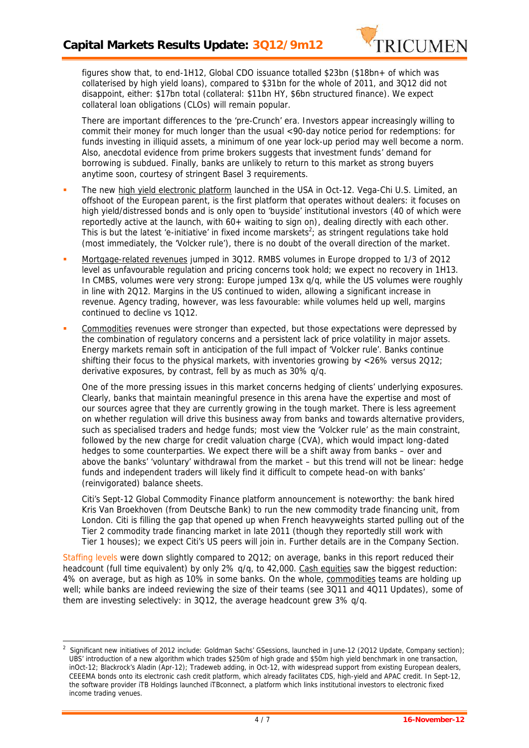

figures show that, to end-1H12, Global CDO issuance totalled \$23bn (\$18bn+ of which was collaterised by high yield loans), compared to \$31bn for the whole of 2011, and 3Q12 did not disappoint, either: \$17bn total (collateral: \$11bn HY, \$6bn structured finance). We expect collateral loan obligations (CLOs) will remain popular.

There are important differences to the 'pre-Crunch' era. Investors appear increasingly willing to commit their money for much longer than the usual <90-day notice period for redemptions: for funds investing in illiquid assets, a minimum of one year lock-up period may well become a norm. Also, anecdotal evidence from prime brokers suggests that investment funds' demand for borrowing is subdued. Finally, banks are unlikely to return to this market as strong buyers anytime soon, courtesy of stringent Basel 3 requirements.

- The new high yield electronic platform launched in the USA in Oct-12. Vega-Chi U.S. Limited, an offshoot of the European parent, is the first platform that operates without dealers: it focuses on high yield/distressed bonds and is only open to 'buyside' institutional investors (40 of which were reportedly active at the launch, with 60+ waiting to sign on), dealing directly with each other. This is but the latest 'e-initiative' in fixed income marskets 2 ; as stringent regulations take hold (most immediately, the 'Volcker rule'), there is no doubt of the overall direction of the market.
- Mortgage-related revenues jumped in 3Q12. RMBS volumes in Europe dropped to 1/3 of 2Q12 level as unfavourable regulation and pricing concerns took hold; we expect no recovery in 1H13. In CMBS, volumes were very strong: Europe jumped 13x q/q, while the US volumes were roughly in line with 2Q12. Margins in the US continued to widen, allowing a significant increase in revenue. Agency trading, however, was less favourable: while volumes held up well, margins continued to decline vs 1Q12.
- Commodities revenues were stronger than expected, but those expectations were depressed by the combination of regulatory concerns and a persistent lack of price volatility in major assets. Energy markets remain soft in anticipation of the full impact of 'Volcker rule'. Banks continue shifting their focus to the physical markets, with inventories growing by <26% versus 2Q12; derivative exposures, by contrast, fell by as much as 30% q/q.

One of the more pressing issues in this market concerns hedging of clients' underlying exposures. Clearly, banks that maintain meaningful presence in this arena have the expertise and most of our sources agree that they are *currently* growing in the tough market. There is less agreement on whether regulation will drive this business away from banks and towards alternative providers, such as specialised traders and hedge funds; most view the 'Volcker rule' as the main constraint, followed by the new charge for credit valuation charge (CVA), which would impact long-dated hedges to some counterparties. We expect there will be a shift away from banks – over and above the banks' 'voluntary' withdrawal from the market – but this trend will not be linear: hedge funds and independent traders will likely find it difficult to compete head-on with banks' (reinvigorated) balance sheets.

Citi's Sept-12 Global Commodity Finance platform announcement is noteworthy: the bank hired Kris Van Broekhoven (from Deutsche Bank) to run the new commodity trade financing unit, from London. Citi is filling the gap that opened up when French heavyweights started pulling out of the Tier 2 commodity trade financing market in late 2011 (though they reportedly still work with Tier 1 houses); we expect Citi's US peers will join in. Further details are in the Company Section.

Staffing levels were down slightly compared to 2Q12; on average, banks in this report reduced their headcount (full time equivalent) by only 2% q/q, to 42,000. Cash equities saw the biggest reduction: 4% on average, but as high as 10% in some banks. On the whole, commodities teams are holding up well; while banks are indeed reviewing the size of their teams (see 3Q11 and 4Q11 Updates), some of them are investing selectively: in 3Q12, the average headcount grew 3% q/q.

*<sup>2</sup> Significant new initiatives of 2012 include: Goldman Sachs' GSessions, launched in June-12 (2Q12 Update, Company section); UBS' introduction of a new algorithm which trades \$250m of high grade and \$50m high yield benchmark in one transaction, inOct-12; Blackrock's Aladin (Apr-12); Tradeweb adding, in Oct-12, with widespread support from existing European dealers, CEEEMA bonds onto its electronic cash credit platform, which already facilitates CDS, high-yield and APAC credit. In Sept-12, the software provider iTB Holdings launched iTBconnect, a platform which links institutional investors to electronic fixed income trading venues.*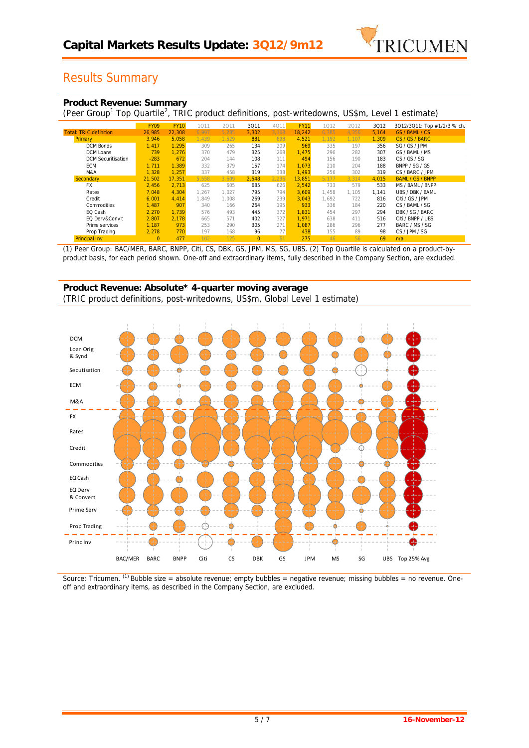

# Results Summary

|  | Product Revenue: Summary |  |
|--|--------------------------|--|
|  |                          |  |

(Peer Group<sup>1</sup> Top Quartile<sup>2</sup>, TRIC product definitions, post-writedowns, US\$m, Level 1 estimate)

|                               | <b>FY09</b> | <b>FY10</b> | 1011  | 2011  | 3011     | 4011  | <b>FY11</b> | 1012  | 2012  | 3Q12  | 3Q12/3Q11: Top #1/2/3 % ch. |
|-------------------------------|-------------|-------------|-------|-------|----------|-------|-------------|-------|-------|-------|-----------------------------|
| <b>Total: TRIC definition</b> | 26,985      | 22.308      | 6.997 | 5.285 | 3.302    | 3.168 | 18.242      | 6.385 | 4.356 | 5.164 | GS / BAML / CS              |
| Primary                       | 3.946       | 5.058       | 1.439 | 1.529 | 881      | 898   | 4.521       | 1.192 | 1,107 | 1.309 | CS / GS / BARC              |
| <b>DCM Bonds</b>              | 1.417       | 1.295       | 309   | 265   | 134      | 209   | 969         | 335   | 197   | 356   | SG / GS / JPM               |
| DCM Loans                     | 739         | 1.276       | 370   | 479   | 325      | 268   | 1.475       | 296   | 282   | 307   | GS / BAML / MS              |
| <b>DCM Securitisation</b>     | $-283$      | 672         | 204   | 144   | 108      | 111   | 494         | 156   | 190   | 183   | CS / GS / SG                |
| <b>ECM</b>                    | 1.711       | 1.389       | 332   | 379   | 157      | 174   | 1.073       | 210   | 204   | 188   | BNPP / SG / GS              |
| M&A                           | .328        | 1.257       | 337   | 458   | 319      | 338   | 1.493       | 256   | 302   | 319   | CS / BARC / JPM             |
| Secondary                     | 21,502      | 17.351      | 5,558 | 3,609 | 2,548    | 2,236 | 13,851      | 5,177 | 3,314 | 4,015 | <b>BAML / GS / BNPP</b>     |
| <b>FX</b>                     | 2,456       | 2.713       | 625   | 605   | 685      | 626   | 2,542       | 733   | 579   | 533   | MS / BAML / BNPP            |
| Rates                         | 7,048       | 4.304       | 1,267 | 1,027 | 795      | 794   | 3,609       | 1.458 | 1,105 | 1.141 | UBS / DBK / BAML            |
| Credit                        | 6.001       | 4.414       | 1.849 | 1,008 | 269      | 239   | 3,043       | .692  | 722   | 816   | Citi / GS / JPM             |
| Commodities                   | 1,487       | 907         | 340   | 166   | 264      | 195   | 933         | 336   | 184   | 220   | CS / BAML / SG              |
| EQ Cash                       | 2,270       | 1.739       | 576   | 493   | 445      | 372   | 1.831       | 454   | 297   | 294   | DBK / SG / BARC             |
| EQ Derv&Conv't                | 2,807       | 2.178       | 665   | 571   | 402      | 327   | 1,971       | 638   | 411   | 516   | Citi / BNPP / UBS           |
| Prime services                | 1,187       | 973         | 253   | 290   | 305      | 271   | 1,087       | 286   | 296   | 277   | BARC / MS / SG              |
| Prop Trading                  | 2,278       | 770         | 197   | 168   | 96       | 77    | 438         | 155   | 89    | 98    | CS / JPM / SG               |
| <b>Principal Inv</b>          |             | 477         | 102   | 125   | $\Omega$ | 61    | 275         | 46    | 56    | 69    | n/a                         |

*(1) Peer Group: BAC/MER, BARC, BNPP, Citi, CS, DBK, GS, JPM, MS, SG, UBS. (2) Top Quartile is calculated on a product-by product basis, for each period shown. One-off and extraordinary items, fully described in the Company Section, are excluded.*

### **Product Revenue: Absolute\* 4-quarter moving average** (TRIC product definitions, post-writedowns, US\$m, Global Level 1 estimate)



*Source: Tricumen. (1) Bubble size = absolute revenue; empty bubbles = negative revenue; missing bubbles = no revenue. One off and extraordinary items, as described in the Company Section, are excluded.*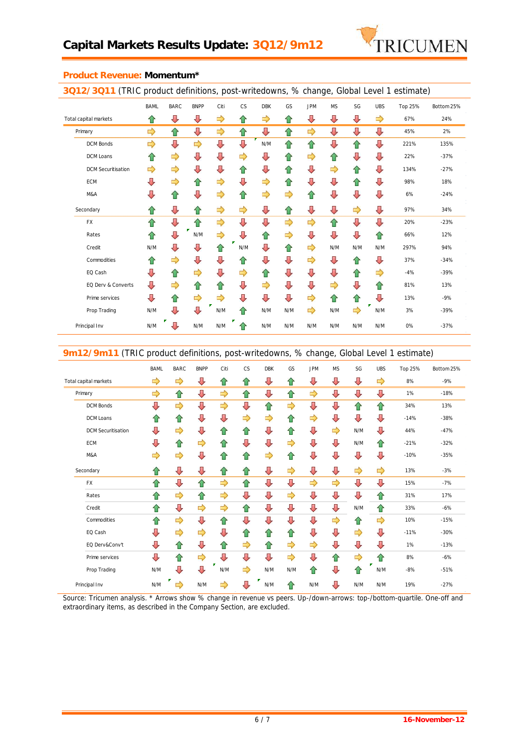

|                           | <b>BAML</b> | <b>BARC</b> | <b>BNPP</b>   | Citi          | CS  | <b>DBK</b>    | GS  | <b>JPM</b> | <b>MS</b> | SG  | <b>UBS</b>    | Top 25% | Bottom 25% |
|---------------------------|-------------|-------------|---------------|---------------|-----|---------------|-----|------------|-----------|-----|---------------|---------|------------|
| Total capital markets     | ⇧           | ⇩           | ⇩             | ⇨             | ⇧   | ⇨             | ⇧   | ⇩          | ⇩         | ⇩   | ⇨             | 67%     | 24%        |
| Primary                   | ⇨           | ⇧           | ⇩             | ⇨             | ⇧   | ⇩             | ⇧   | ⇨          | ⇩         | ⇩   | ⇩             | 45%     | 2%         |
| <b>DCM Bonds</b>          | ⇨           | ⇩           | $\Rightarrow$ | ⇩             | ⇩   | N/M           | 슙   | 슙          | ⇩         | 슙   | ⇩             | 221%    | 135%       |
| <b>DCM Loans</b>          | ⇧           | ⇨           | ⇩             | ⇩             | ⇨   | ⇩             | ⇧   | ⇨          | ⇧         | ⇩   | ⇩             | 22%     | $-37%$     |
| <b>DCM Securitisation</b> | ⇨           | ⇨           | ⇩             | ⇩             | ⇧   | ⇩             | ⇧   | ⇩          | ⇨         | ⇧   | ⇩             | 134%    | $-27%$     |
| ECM                       | ⇩           | ⇨           | ⇧             | ⇨             | ⇩   | $\Rightarrow$ | ⇧   | ⇩          | ⇩         | ⇧   | ⇩             | 98%     | 18%        |
| M&A                       | ⇩           | ⇧           | ⇩             | ⇨             | ⇧   | $\Rightarrow$ | ⇨   | ⇧          | ⇩         | ⇩   | ⇩             | 6%      | $-24%$     |
| Secondary                 | ⇧           | ⇩           | ⇧             | ⇨             | ⇨   | ⇩             | ⇧   | ⇩          | ⇩         | ⇨   | ⇩             | 97%     | 34%        |
| FX                        | ⇧           | ⇩           | ⇧             | ⇨             | ⇩   | ⇩             | ⇨   | ⇨          | ⇧         | ⇩   | ⇩             | 20%     | $-23%$     |
| Rates                     | ⇑           | ⇩           | N/M           | ⇨             | ⇩   | ⇧             | ⇨   | ⇩          | ⇩         | ⇩   | 仐             | 66%     | 12%        |
| Credit                    | N/M         | ⇩           | ⇩             | ⇧             | N/M | ⇩             | ⇧   | ⇨          | N/M       | N/M | N/M           | 297%    | 94%        |
| Commodities               | ⇧           | ⇨           | ⇩             | ⇩             | ⇧   | ⇩             | ⇩   | ⇨          | ⇩         | ⇧   | ⇩             | 37%     | $-34%$     |
| EQ Cash                   | ⇩           | ⇑           | ⇨             | ⇩             | ⇨   | ⇧             | ⇩   | ⇩          | ⇩         | ⇧   | $\Rightarrow$ | $-4%$   | $-39%$     |
| EQ Derv & Converts        | ⇩           | ⇨           | ⇧             | ⇧             | ⇩   | $\Rightarrow$ | ⇩   | ⇩          | ⇨         | ⇩   | ⇧             | 81%     | 13%        |
| Prime services            | ⇩           | ⇧           | $\Rightarrow$ | $\Rightarrow$ | ⇩   | ⇩             | ⇩   | ⇨          | ⇧         | ⇧   | ⇩             | 13%     | $-9%$      |
| Prop Trading              | N/M         | ⇩           | ⇩             | N/M           | ⇑   | N/M           | N/M | ⇨          | N/M       | ⇨   | N/M           | 3%      | $-39%$     |
| Principal Inv             | N/M         | ⇩           | N/M           | N/M           | ⇑   | N/M           | N/M | N/M        | N/M       | N/M | N/M           | 0%      | $-37%$     |

### **Product Revenue: Momentum\***

**9m12/9m11** (TRIC product definitions, post-writedowns, % change, Global Level 1 estimate)

|                           |               |               | $\cdot$ .     |               |               | ັ             |               |               |               |     |               |         |            |  |
|---------------------------|---------------|---------------|---------------|---------------|---------------|---------------|---------------|---------------|---------------|-----|---------------|---------|------------|--|
|                           | <b>BAML</b>   | <b>BARC</b>   | <b>BNPP</b>   | Citi          | CS            | <b>DBK</b>    | GS            | <b>JPM</b>    | <b>MS</b>     | SG  | <b>UBS</b>    | Top 25% | Bottom 25% |  |
| Total capital markets     | $\Rightarrow$ | $\Rightarrow$ | ⇩             | ⇧             | ⇧             | ⇩             | ⇧             | ⇩             | ⇩             | ⇩   | $\Rightarrow$ | 8%      | $-9%$      |  |
| Primary                   | ⇨             | ⇧             | ⇩             | $\Rightarrow$ | ⇧             | ⇩             | ⇧             | ⇨             | ⇩             | ⇩   | ⇩             | 1%      | $-18%$     |  |
| <b>DCM Bonds</b>          | ⇩             | $\Rightarrow$ | ⇩             | $\Rightarrow$ | ⇩             | ⇧             | ⇨             | ⇩             | ⇩             | ⇧   | ⇧             | 34%     | 13%        |  |
| DCM Loans                 | ⇧             | ⇧             | ⇩             | ⇩             | $\Rightarrow$ | $\Rightarrow$ | ⇧             | $\Rightarrow$ | ⇩             | ⇩   | ⇩             | $-14%$  | $-38%$     |  |
| <b>DCM</b> Securitisation | ⇩             | ⇨             | ⇩             | ⇧             | ⇧             | ⇩             | ⇧             | ⇩             | ⇨             | N/M | ⇩             | 44%     | $-47%$     |  |
| <b>ECM</b>                | ⇩             | ⇧             | ⇨             | ⇧             | ⇩             | ⇩             | ⇨             | ⇩             | ⇩             | N/M | ⇧             | $-21%$  | $-32%$     |  |
| M&A                       | ⇨             | ⇨             | ⇩             | ⇧             | ⇧             | ⇨             | ⇧             | ⇩             | ⇩             | ⇩   | ⇩             | $-10%$  | $-35%$     |  |
| Secondary                 | ⇧             | ⇩             | ⇩             | ⇧             | ⇧             | ⇩             | ⇨             | ⇩             | ⇩             | ⇨   | $\Rightarrow$ | 13%     | $-3%$      |  |
| FX                        | ⇧             | ⇩             | ⇧             | $\Rightarrow$ | ⇧             | ⇩             | ⇩             | ⇨             | ⇨             | ⇩   | ⇩             | 15%     | $-7%$      |  |
| Rates                     | ⇧             | ⇨             | ⇧             | $\Rightarrow$ | ⇩             | ⇩             | $\Rightarrow$ | ⇩             | ⇩             | ⇩   | ⇧             | 31%     | 17%        |  |
| Credit                    | ⇧             | ⇩             | ⇨             | $\Rightarrow$ | ⇧             | ⇩             | ⇩             | ⇩             | ⇩             | N/M | ⇧             | 33%     | $-6%$      |  |
| Commodities               | ⇧             | ⇨             | ⇩             | ⇧             | ⇩             | ⇩             | ⇩             | ⇩             | $\Rightarrow$ | ⇧   | $\Rightarrow$ | 10%     | $-15%$     |  |
| EQ Cash                   | ⇩             | ⇨             | ⇨             | ⇩             | ⇧             | ⇧             | ⇧             | ⇩             | ⇩             | ⇨   | ⇩             | $-11%$  | $-30%$     |  |
| EQ Derv&Conv't            | ⇩             | ⇧             | ⇩             | ⇧             | ⇨             | ⇧             | ⇨             | ⇨             | ⇩             | ⇩   | ⇩             | 1%      | $-13%$     |  |
| Prime services            | ⇩             | ⇧             | $\Rightarrow$ | ⇩             | ⇩             | ⇩             | ⇨             | ⇩             | 合             | ⇨   | ⇧             | 8%      | $-6%$      |  |
| Prop Trading              | N/M           | ⇩             | ⇩             | N/M           | ⇨             | N/M           | N/M           | ⇧             | ⇩             | ⇧   | N/M           | $-8%$   | $-51%$     |  |
| Principal Inv             | N/M           | ⇨             | N/M           | ⇨             | ⇩             | N/M           | ⇧             | N/M           | ⇩             | N/M | N/M           | 19%     | $-27%$     |  |

*Source: Tricumen analysis. \* Arrows show % change in revenue vs peers. Up-/down-arrows: top-/bottom-quartile. One-off and extraordinary items, as described in the Company Section, are excluded.*